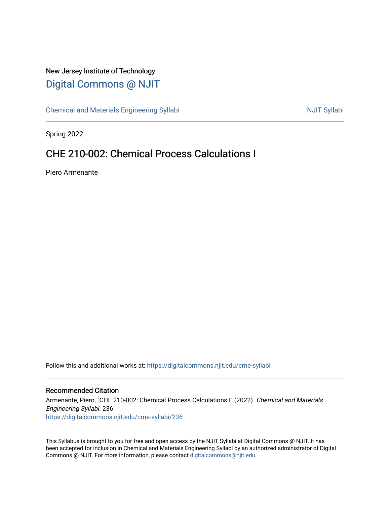## New Jersey Institute of Technology [Digital Commons @ NJIT](https://digitalcommons.njit.edu/)

[Chemical and Materials Engineering Syllabi](https://digitalcommons.njit.edu/cme-syllabi) Nulle and Syllabi Nulle Syllabi Nulle Syllabi Nulle Syllabi Nulle Syllabi

Spring 2022

# CHE 210-002: Chemical Process Calculations I

Piero Armenante

Follow this and additional works at: [https://digitalcommons.njit.edu/cme-syllabi](https://digitalcommons.njit.edu/cme-syllabi?utm_source=digitalcommons.njit.edu%2Fcme-syllabi%2F236&utm_medium=PDF&utm_campaign=PDFCoverPages) 

## Recommended Citation

Armenante, Piero, "CHE 210-002: Chemical Process Calculations I" (2022). Chemical and Materials Engineering Syllabi. 236. [https://digitalcommons.njit.edu/cme-syllabi/236](https://digitalcommons.njit.edu/cme-syllabi/236?utm_source=digitalcommons.njit.edu%2Fcme-syllabi%2F236&utm_medium=PDF&utm_campaign=PDFCoverPages) 

This Syllabus is brought to you for free and open access by the NJIT Syllabi at Digital Commons @ NJIT. It has been accepted for inclusion in Chemical and Materials Engineering Syllabi by an authorized administrator of Digital Commons @ NJIT. For more information, please contact [digitalcommons@njit.edu.](mailto:digitalcommons@njit.edu)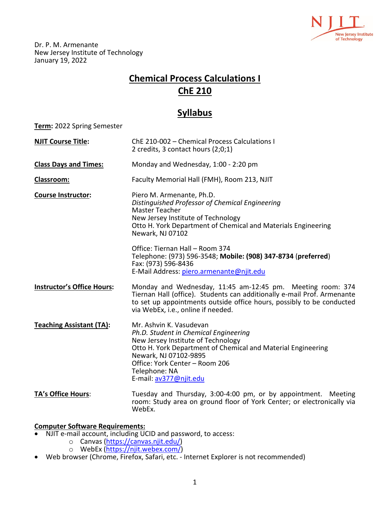

Dr. P. M. Armenante New Jersey Institute of Technology January 19, 2022

# **Chemical Process Calculations I ChE 210**

## **Syllabus**

**Term:** 2022 Spring Semester

| <b>NJIT Course Title:</b>         | ChE 210-002 - Chemical Process Calculations I<br>2 credits, 3 contact hours (2;0;1)                                                                                                                                                                                          |
|-----------------------------------|------------------------------------------------------------------------------------------------------------------------------------------------------------------------------------------------------------------------------------------------------------------------------|
| <b>Class Days and Times:</b>      | Monday and Wednesday, 1:00 - 2:20 pm                                                                                                                                                                                                                                         |
| Classroom:                        | Faculty Memorial Hall (FMH), Room 213, NJIT                                                                                                                                                                                                                                  |
| <b>Course Instructor:</b>         | Piero M. Armenante, Ph.D.<br>Distinguished Professor of Chemical Engineering<br>Master Teacher<br>New Jersey Institute of Technology<br>Otto H. York Department of Chemical and Materials Engineering<br>Newark, NJ 07102                                                    |
|                                   | Office: Tiernan Hall - Room 374<br>Telephone: (973) 596-3548; Mobile: (908) 347-8734 (preferred)<br>Fax: (973) 596-8436<br>E-Mail Address: piero.armenante@njit.edu                                                                                                          |
| <b>Instructor's Office Hours:</b> | Monday and Wednesday, 11:45 am-12:45 pm. Meeting room: 374<br>Tiernan Hall (office). Students can additionally e-mail Prof. Armenante<br>to set up appointments outside office hours, possibly to be conducted<br>via WebEx, i.e., online if needed.                         |
| <b>Teaching Assistant (TA):</b>   | Mr. Ashvin K. Vasudevan<br>Ph.D. Student in Chemical Engineering<br>New Jersey Institute of Technology<br>Otto H. York Department of Chemical and Material Engineering<br>Newark, NJ 07102-9895<br>Office: York Center - Room 206<br>Telephone: NA<br>E-mail: av377@njit.edu |
| TA's Office Hours:                | Tuesday and Thursday, 3:00-4:00 pm, or by appointment. Meeting<br>room: Study area on ground floor of York Center; or electronically via                                                                                                                                     |

## **Computer Software Requirements:**

• NJIT e-mail account, including UCID and password, to access:

WebEx.

- o Canvas [\(https://canvas.njit.edu/\)](https://canvas.njit.edu/)
- o WebEx [\(https://njit.webex.com/\)](https://njit.webex.com/)
- Web browser (Chrome, Firefox, Safari, etc. Internet Explorer is not recommended)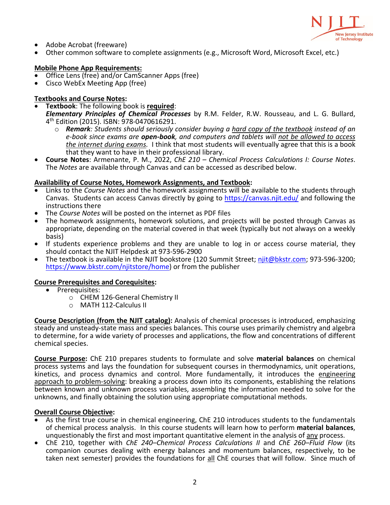

- 
- Adobe Acrobat (freeware)<br>Other common software to complete assignments (e.g., Microsoft Word, Microsoft Excel, etc.)

## **Mobile Phone App Requirements:**

- Office Lens (free) and/or CamScanner Apps (free)
- Cisco WebEx Meeting App (free)

## **Textbooks and Course Notes:**

• **Textbook**: The following book is **required**:

*Elementary Principles of Chemical Processes* by R.M. Felder, R.W. Rousseau, and L. G. Bullard, 4th Edition (2015). ISBN: 978-0470616291.

- o *Remark: Students should seriously consider buying a hard copy of the textbook instead of an e-book since exams are open-book, and computers and tablets will not be allowed to access the internet during exams.* I think that most students will eventually agree that this is a book that they want to have in their professional library.
- **Course Notes**: Armenante, P. M., 2022, *ChE 210 – Chemical Process Calculations I: Course Notes*. The *Notes* are available through Canvas and can be accessed as described below.

## **Availability of Course Notes, Homework Assignments, and Textbook:**

- Links to the *Course Notes* and the homework assignments will be available to the students through Canvas. Students can access Canvas directly by going to<https://canvas.njit.edu/> and following the instructions there
- The *Course Notes* will be posted on the internet as PDF files
- The homework assignments, homework solutions, and projects will be posted through Canvas as appropriate, depending on the material covered in that week (typically but not always on a weekly basis)
- If students experience problems and they are unable to log in or access course material, they should contact the NJIT Helpdesk at 973-596-2900
- The textbook is available in the NJIT bookstore (120 Summit Street; [njit@bkstr.com;](https://www.bkstr.com/njitstore/store-info-contact-us?cm_sp=GlobalFallFY19BTS-_-SNAHours-_-584) 973-596-3200; [https://www.bkstr.com/njitstore/home\)](https://www.bkstr.com/njitstore/home) or from the publisher

## **Course Prerequisites and Corequisites:**

- Prerequisites:
	- o CHEM 126-General Chemistry II
	- o MATH 112-Calculus II

**Course Description (from the NJIT catalog):** Analysis of chemical processes is introduced, emphasizing steady and unsteady-state mass and species balances. This course uses primarily chemistry and algebra to determine, for a wide variety of processes and applications, the flow and concentrations of different chemical species.

**Course Purpose:** ChE 210 prepares students to formulate and solve **material balances** on chemical process systems and lays the foundation for subsequent courses in thermodynamics, unit operations, kinetics, and process dynamics and control. More fundamentally, it introduces the engineering approach to problem-solving: breaking a process down into its components, establishing the relations between known and unknown process variables, assembling the information needed to solve for the unknowns, and finally obtaining the solution using appropriate computational methods.

- **Overall Course Objective:**<br>
 As the first true course in chemical engineering, ChE 210 introduces students to the fundamentals<br>
of chemical process analysis. In this course students will learn how to perform material bal unquestionably the first and most important quantitative element in the analysis of any process.
- ChE 210, together with *ChE 240–Chemical Process Calculations II* and *ChE 260–Fluid Flow* (its companion courses dealing with energy balances and momentum balances, respectively, to be taken next semester) provides the foundations for all ChE courses that will follow. Since much of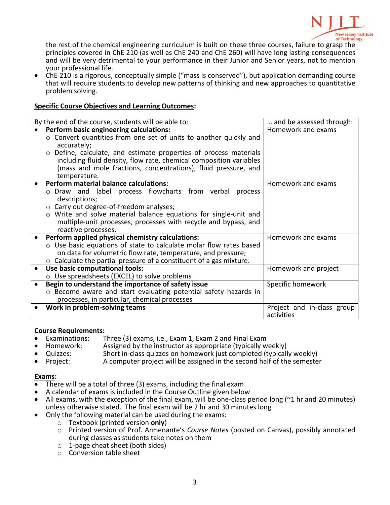

the rest of the chemical engineering curriculum is built on these three courses, failure to grasp the principles covered in ChE 210 (as well as ChE 240 and ChE 260) will have long lasting consequences and will be very detrimental to your performance in their Junior and Senior years, not to mention your professional life.

• ChE 210 is a rigorous, conceptually simple ("mass is conserved"), but application demanding course that will require students to develop new patterns of thinking and new approaches to quantitative problem solving.

## **Specific Course Objectives and Learning Outcomes:**

| By the end of the course, students will be able to:<br>and be assessed through: |                            |  |  |  |  |  |
|---------------------------------------------------------------------------------|----------------------------|--|--|--|--|--|
| Perform basic engineering calculations:                                         | Homework and exams         |  |  |  |  |  |
| o Convert quantities from one set of units to another quickly and               |                            |  |  |  |  |  |
| accurately;                                                                     |                            |  |  |  |  |  |
| o Define, calculate, and estimate properties of process materials               |                            |  |  |  |  |  |
| including fluid density, flow rate, chemical composition variables              |                            |  |  |  |  |  |
| (mass and mole fractions, concentrations), fluid pressure, and                  |                            |  |  |  |  |  |
| temperature.                                                                    |                            |  |  |  |  |  |
| Perform material balance calculations:                                          | Homework and exams         |  |  |  |  |  |
|                                                                                 |                            |  |  |  |  |  |
| o Draw and label process flowcharts from verbal<br>process                      |                            |  |  |  |  |  |
| descriptions;                                                                   |                            |  |  |  |  |  |
| ○ Carry out degree-of-freedom analyses;                                         |                            |  |  |  |  |  |
| o Write and solve material balance equations for single-unit and                |                            |  |  |  |  |  |
| multiple-unit processes, processes with recycle and bypass, and                 |                            |  |  |  |  |  |
| reactive processes.                                                             |                            |  |  |  |  |  |
| Perform applied physical chemistry calculations:                                | Homework and exams         |  |  |  |  |  |
| ○ Use basic equations of state to calculate molar flow rates based              |                            |  |  |  |  |  |
| on data for volumetric flow rate, temperature, and pressure;                    |                            |  |  |  |  |  |
| $\circ$ Calculate the partial pressure of a constituent of a gas mixture.       |                            |  |  |  |  |  |
| Use basic computational tools:                                                  | Homework and project       |  |  |  |  |  |
| $\circ$ Use spreadsheets (EXCEL) to solve problems                              |                            |  |  |  |  |  |
| Begin to understand the importance of safety issue                              | Specific homework          |  |  |  |  |  |
| o Become aware and start evaluating potential safety hazards in                 |                            |  |  |  |  |  |
| processes, in particular, chemical processes                                    |                            |  |  |  |  |  |
| Work in problem-solving teams                                                   | Project and in-class group |  |  |  |  |  |
|                                                                                 | activities                 |  |  |  |  |  |

# **Course Requirements:**

- Examinations: Three (3) exams, i.e., Exam 1, Exam 2 and Final Exam
- - Homework: Assigned by the instructor as appropriate (typically weekly)
- Quizzes: Short in-class quizzes on homework just completed (typically weekly)<br>Project: A computer project will be assigned in the second half of the semeste A computer project will be assigned in the second half of the semester

- 
- 
- **Exams:**<br>• There will be a total of three (3) exams, including the final exam<br>• A calendar of exams is included in the Course Outline given below<br>• All exams, with the exception of the final exam, will be one-class period unless otherwise stated. The final exam will be 2 hr and 30 minutes long<br>Only the following material can be used during the exams:
- - o Textbook (printed version **only**)
	- o Printed version of Prof. Armenante's *Course Notes* (posted on Canvas), possibly annotated during classes as students take notes on them
	- o 1-page cheat sheet (both sides)
	- o Conversion table sheet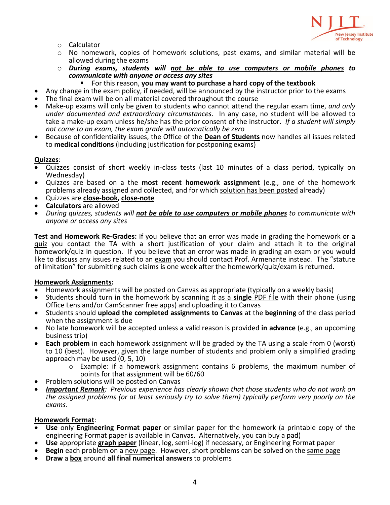

- o Calculator
- o No homework, copies of homework solutions, past exams, and similar material will be allowed during the exams
- o *During exams, students will not be able to use computers or mobile phones to communicate with anyone or access any sites*
	- For this reason, **you may want to purchase a hard copy of the textbook**
- Any change in the exam policy, if needed, will be announced by the instructor prior to the exams
- The final exam will be on all material covered throughout the course
- Make-up exams will only be given to students who cannot attend the regular exam time, *and only under documented and extraordinary circumstances*. In any case, no student will be allowed to take a make-up exam unless he/she has the prior consent of the instructor. *If a student will simply not come to an exam, the exam grade will automatically be zero*
- Because of confidentiality issues, the Office of the **Dean of Students** now handles all issues related to **medical conditions** (including justification for postponing exams)

## **Quizzes**:

- Quizzes consist of short weekly in-class tests (last 10 minutes of a class period, typically on
- Wednesday)<br>Quizzes are based on a the **most recent homework assignment** (e.g., one of the homework problems already assigned and collected, and for which solution has been posted already)
- Quizzes are **close-book, close-note**
- **Calculators** are allowed
- *During quizzes, students will not be able to use computers or mobile phones to communicate with anyone or access any sites*

**Test and Homework Re-Grades:** If you believe that an error was made in grading the homework or a quiz you contact the TA with a short justification of your claim and attach it to the original homework/quiz in question. If you believe that an error was made in grading an exam or you would like to discuss any issues related to an exam you should contact Prof. Armenante instead. The "statute of limitation" for submitting such claims is one week after the homework/quiz/exam is returned.

## **Homework Assignments:**

- Homework assignments will be posted on Canvas as appropriate (typically on a weekly basis)
- Students should turn in the homework by scanning it as a **single** PDF file with their phone (using Office Lens and/or CamScanner free apps) and uploading it to Canvas
- Students should **upload the completed assignments to Canvas** at the **beginning** of the class period when the assignment is due
- No late homework will be accepted unless a valid reason is provided **in advance** (e.g., an upcoming business trip)
- **Each problem** in each homework assignment will be graded by the TA using a scale from 0 (worst) to 10 (best). However, given the large number of students and problem only a simplified grading approach may be used (0, 5, 10)
	- $\circ$  Example: if a homework assignment contains 6 problems, the maximum number of points for that assignment will be 60/60
- Problem solutions will be posted on Canvas
- *Important Remark: Previous experience has clearly shown that those students who do not work on the assigned problems (or at least seriously try to solve them) typically perform very poorly on the exams.*

## **Homework Format**:

- **Use** only **Engineering Format paper** or similar paper for the homework (a printable copy of the engineering Format paper is available in Canvas. Alternatively, you can buy a pad)
- 
- Use appropriate *graph paper* (linear, log, semi-log) if necessary, or Engineering Format paper<br>• Begin each problem on a new page. However, short problems can be solved on the same page<br>• Draw a box around all final num
-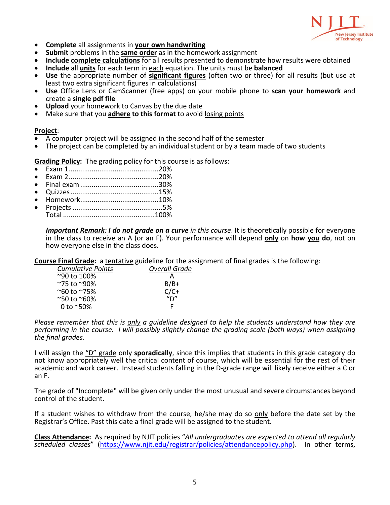

- 
- 
- Complete all assignments in <u>your own handwriting</u><br>• Submit problems in the same order as in the homework assignment<br>• Include complete calculations for all results presented to demonstrate how results were obtained<br>• In
- 
- **Use** the appropriate number of **significant figures** (often two or three) for all results (but use at least two extra significant figures in calculations)
- **Use** Office Lens or CamScanner (free apps) on your mobile phone to **scan your homework** and create a **single pdf file**
- **Upload** your homework to Canvas by the due date
- Make sure that you **adhere to this format** to avoid losing points

## **Project**:

- A computer project will be assigned in the second half of the semester
- The project can be completed by an individual student or by a team made of two students

**Grading Policy:** The grading policy for this course is as follows:

- Exam 1...............................................20%
- Exam 2...............................................20%
- Final exam.........................................30%
- Quizzes..............................................15%
- Homework.........................................10% • Projects ...............................................5%
- Total ................................................100%

*Important Remark: I do not grade on a curve in this course*. It is theoretically possible for everyone in the class to receive an A (or an F). Your performance will depend **only** on **how you do**, not on how everyone else in the class does.

**Course Final Grade:** a tentative guideline for the assignment of final grades is the following:

| <b>Cumulative Points</b> | <b>Overall Grade</b> |  |  |
|--------------------------|----------------------|--|--|
| ~90 to 100%              |                      |  |  |
| ~75 to ~90%              | $B/B+$               |  |  |
| ~60 to ~75%              | $C/C+$               |  |  |
| ~50 to ~60%              | $n_{\mathsf{D}''}$   |  |  |
| 0 to $^{\sim}50\%$       |                      |  |  |

*Please remember that this is only a guideline designed to help the students understand how they are performing in the course. I will possibly slightly change the grading scale (both ways) when assigning the final grades.*

I will assign the "D" grade only **sporadically**, since this implies that students in this grade category do not know appropriately well the critical content of course, which will be essential for the rest of their academic and work career. Instead students falling in the D-grade range will likely receive either a C or an F.

The grade of "Incomplete" will be given only under the most unusual and severe circumstances beyond control of the student.

If a student wishes to withdraw from the course, he/she may do so only before the date set by the Registrar's Office. Past this date a final grade will be assigned to the student.

**Class Attendance:** As required by NJIT policies "*All undergraduates are expected to attend all regularly scheduled classes*" [\(https://www.njit.edu/registrar/policies/attendancepolicy.php\)](https://www.njit.edu/registrar/policies/attendancepolicy.php). In other terms,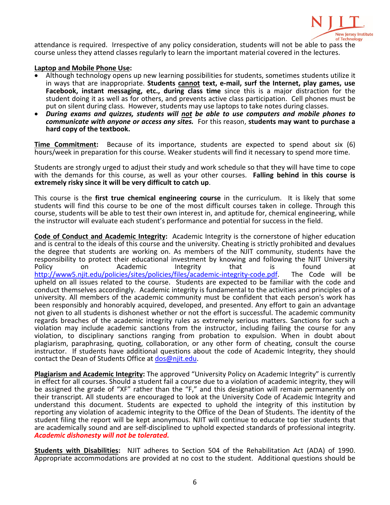

attendance is required. Irrespective of any policy consideration, students will not be able to pass the course unless they attend classes regularly to learn the important material covered in the lectures.

## **Laptop and Mobile Phone Use:**

- Although technology opens up new learning possibilities for students, sometimes students utilize it in ways that are inappropriate. **Students cannot text, e-mail, surf the Internet, play games, use Facebook, instant messaging, etc., during class time** since this is a major distraction for the student doing it as well as for others, and prevents active class participation. Cell phones must be put on silent during class. However, students may use laptops to take notes during classes.
- *During exams and quizzes, students will not be able to use computers and mobile phones to communicate with anyone or access any sites.* For this reason, **students may want to purchase a hard copy of the textbook.**

**Time Commitment:** Because of its importance, students are expected to spend about six (6) hours/week in preparation for this course. Weaker students will find it necessary to spend more time.

Students are strongly urged to adjust their study and work schedule so that they will have time to cope with the demands for this course, as well as your other courses. **Falling behind in this course is extremely risky since it will be very difficult to catch up**.

This course is the **first true chemical engineering course** in the curriculum. It is likely that some students will find this course to be one of the most difficult courses taken in college. Through this course, students will be able to test their own interest in, and aptitude for, chemical engineering, while the instructor will evaluate each student's performance and potential for success in the field.

**Code of Conduct and Academic Integrity:** Academic Integrity is the cornerstone of higher education and is central to the ideals of this course and the university. Cheating is strictly prohibited and devalues the degree that students are working on. As members of the NJIT community, students have the responsibility to protect their educational investment by knowing and following the NJIT University Policy on Academic Integrity that is found at [http://www5.njit.edu/policies/sites/policies/files/academic-integrity-code.pdf.](http://www5.njit.edu/policies/sites/policies/files/academic-integrity-code.pdf) The Code will be upheld on all issues related to the course. Students are expected to be familiar with the code and conduct themselves accordingly. Academic integrity is fundamental to the activities and principles of a university. All members of the academic community must be confident that each person's work has been responsibly and honorably acquired, developed, and presented. Any effort to gain an advantage not given to all students is dishonest whether or not the effort is successful. The academic community regards breaches of the academic integrity rules as extremely serious matters. Sanctions for such a violation may include academic sanctions from the instructor, including failing the course for any violation, to disciplinary sanctions ranging from probation to expulsion. When in doubt about plagiarism, paraphrasing, quoting, collaboration, or any other form of cheating, consult the course instructor. If students have additional questions about the code of Academic Integrity, they should contact the Dean of Students Office at [dos@njit.edu.](mailto:dos@njit.edu)

**Plagiarism and Academic Integrity:** The approved "University Policy on Academic Integrity" is currently in effect for all courses. Should a student fail a course due to a violation of academic integrity, they will be assigned the grade of "XF" rather than the "F," and this designation will remain permanently on their transcript. All students are encouraged to look at the University Code of Academic Integrity and understand this document. Students are expected to uphold the integrity of this institution by reporting any violation of academic integrity to the Office of the Dean of Students. The identity of the student filing the report will be kept anonymous. NJIT will continue to educate top tier students that are academically sound and are self-disciplined to uphold expected standards of professional integrity. *Academic dishonesty will not be tolerated.*

**Students with Disabilities:** NJIT adheres to Section 504 of the Rehabilitation Act (ADA) of 1990. Appropriate accommodations are provided at no cost to the student. Additional questions should be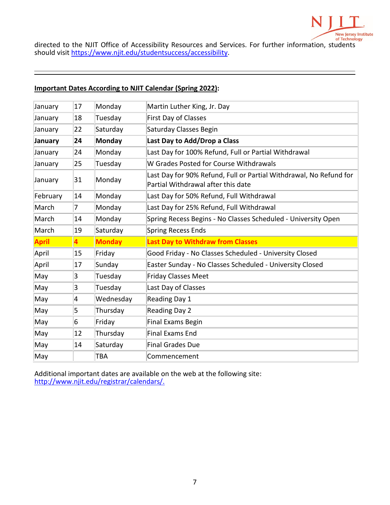

directed to the NJIT Office of Accessibility Resources and Services. For further information, students should visit [https://www.njit.edu/studentsuccess/accessibility.](https://www.njit.edu/studentsuccess/accessibility)

## **Important Dates According to NJIT Calendar (Spring 2022):**

| 17                                                            | Monday        | Martin Luther King, Jr. Day                                        |  |
|---------------------------------------------------------------|---------------|--------------------------------------------------------------------|--|
| 18                                                            | Tuesday       | <b>First Day of Classes</b>                                        |  |
| 22                                                            | Saturday      | Saturday Classes Begin                                             |  |
| 24                                                            | Monday        | Last Day to Add/Drop a Class                                       |  |
| 24                                                            | Monday        | Last Day for 100% Refund, Full or Partial Withdrawal               |  |
| 25                                                            | Tuesday       | W Grades Posted for Course Withdrawals                             |  |
| 31<br>Monday<br>January<br>Partial Withdrawal after this date |               | Last Day for 90% Refund, Full or Partial Withdrawal, No Refund for |  |
| 14                                                            | Monday        | Last Day for 50% Refund, Full Withdrawal                           |  |
| 7                                                             | Monday        | Last Day for 25% Refund, Full Withdrawal                           |  |
| 14                                                            | Monday        | Spring Recess Begins - No Classes Scheduled - University Open      |  |
| 19                                                            | Saturday      | <b>Spring Recess Ends</b>                                          |  |
| 4                                                             | <b>Monday</b> | <b>Last Day to Withdraw from Classes</b>                           |  |
| 15                                                            | Friday        | Good Friday - No Classes Scheduled - University Closed             |  |
| 17                                                            | Sunday        | Easter Sunday - No Classes Scheduled - University Closed           |  |
| 3                                                             | Tuesday       | <b>Friday Classes Meet</b>                                         |  |
| 3                                                             | Tuesday       | Last Day of Classes                                                |  |
| 4                                                             | Wednesday     | Reading Day 1                                                      |  |
| 5                                                             | Thursday      | Reading Day 2                                                      |  |
| 6                                                             | Friday        | <b>Final Exams Begin</b>                                           |  |
| 12                                                            | Thursday      | <b>Final Exams End</b>                                             |  |
| 14                                                            | Saturday      | <b>Final Grades Due</b>                                            |  |
|                                                               |               |                                                                    |  |
|                                                               |               |                                                                    |  |

Additional important dates are available on the web at the following site: [http://www.njit.edu/registrar/calendars/.](http://www.njit.edu/registrar/calendars/)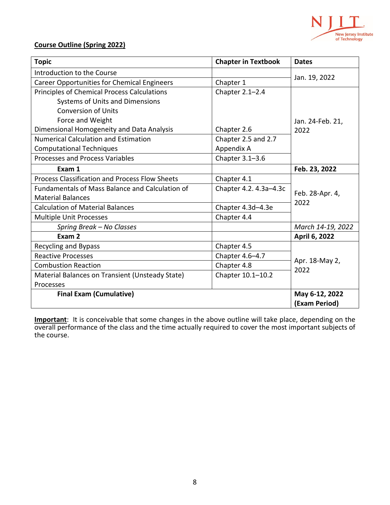

## **Course Outline (Spring 2022)**

| <b>Topic</b>                                          | <b>Chapter in Textbook</b> | <b>Dates</b>            |  |
|-------------------------------------------------------|----------------------------|-------------------------|--|
| Introduction to the Course                            |                            | Jan. 19, 2022           |  |
| <b>Career Opportunities for Chemical Engineers</b>    | Chapter 1                  |                         |  |
| Principles of Chemical Process Calculations           | Chapter 2.1-2.4            |                         |  |
| <b>Systems of Units and Dimensions</b>                |                            |                         |  |
| <b>Conversion of Units</b>                            |                            |                         |  |
| Force and Weight                                      |                            | Jan. 24-Feb. 21,        |  |
| Dimensional Homogeneity and Data Analysis             | Chapter 2.6                | 2022                    |  |
| <b>Numerical Calculation and Estimation</b>           | Chapter 2.5 and 2.7        |                         |  |
| <b>Computational Techniques</b>                       | Appendix A                 |                         |  |
| Processes and Process Variables                       | Chapter 3.1-3.6            |                         |  |
| Exam 1                                                |                            | Feb. 23, 2022           |  |
| <b>Process Classification and Process Flow Sheets</b> | Chapter 4.1                |                         |  |
| Fundamentals of Mass Balance and Calculation of       | Chapter 4.2. 4.3a-4.3c     | Feb. 28-Apr. 4,<br>2022 |  |
| <b>Material Balances</b>                              |                            |                         |  |
| <b>Calculation of Material Balances</b>               | Chapter 4.3d-4.3e          |                         |  |
| <b>Multiple Unit Processes</b>                        | Chapter 4.4                |                         |  |
| Spring Break - No Classes                             |                            | March 14-19, 2022       |  |
| Exam 2                                                |                            | April 6, 2022           |  |
| Recycling and Bypass                                  | Chapter 4.5                |                         |  |
| <b>Reactive Processes</b>                             | Chapter 4.6-4.7            | Apr. 18-May 2,<br>2022  |  |
| <b>Combustion Reaction</b>                            | Chapter 4.8                |                         |  |
| Material Balances on Transient (Unsteady State)       | Chapter 10.1-10.2          |                         |  |
| Processes                                             |                            |                         |  |
| <b>Final Exam (Cumulative)</b>                        | May 6-12, 2022             |                         |  |
|                                                       | (Exam Period)              |                         |  |

**Important**: It is conceivable that some changes in the above outline will take place, depending on the overall performance of the class and the time actually required to cover the most important subjects of the course.